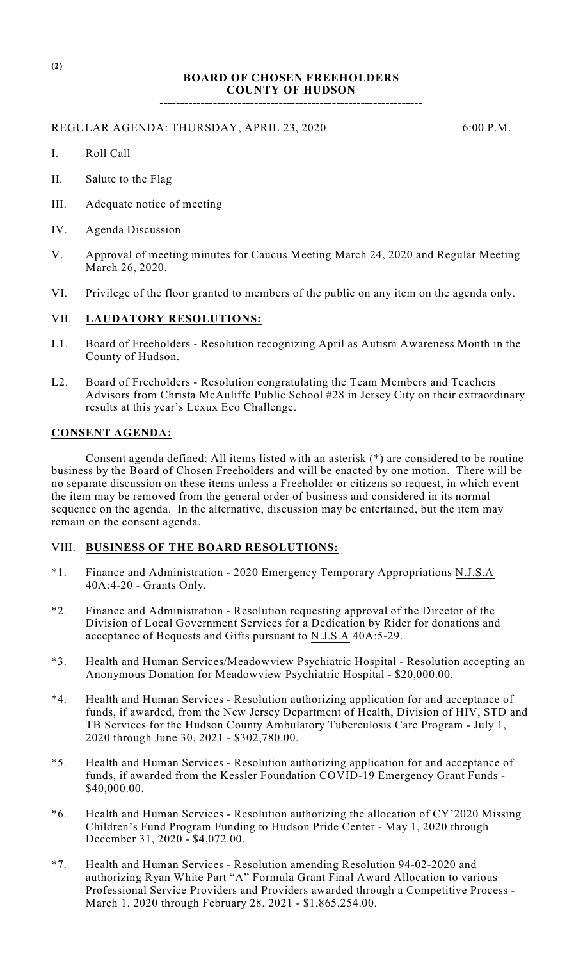## **BOARD OF CHOSEN FREEHOLDERS COUNTY OF HUDSON**

**----------------------------------------------------------------**

#### REGULAR AGENDA: THURSDAY, APRIL 23, 2020 6:00 P.M.

- I. Roll Call
- II. Salute to the Flag
- III. Adequate notice of meeting
- IV. Agenda Discussion
- V. Approval of meeting minutes for Caucus Meeting March 24, 2020 and Regular Meeting March 26, 2020.
- VI. Privilege of the floor granted to members of the public on any item on the agenda only.

### VII. **LAUDATORY RESOLUTIONS:**

- L1. Board of Freeholders Resolution recognizing April as Autism Awareness Month in the County of Hudson.
- L2. Board of Freeholders Resolution congratulating the Team Members and Teachers Advisors from Christa McAuliffe Public School #28 in Jersey City on their extraordinary results at this year's Lexux Eco Challenge.

#### **CONSENT AGENDA:**

Consent agenda defined: All items listed with an asterisk (\*) are considered to be routine business by the Board of Chosen Freeholders and will be enacted by one motion. There will be no separate discussion on these items unless a Freeholder or citizens so request, in which event the item may be removed from the general order of business and considered in its normal sequence on the agenda. In the alternative, discussion may be entertained, but the item may remain on the consent agenda.

#### VIII. **BUSINESS OF THE BOARD RESOLUTIONS:**

- \*1. Finance and Administration 2020 Emergency Temporary Appropriations N.J.S.A 40A:4-20 - Grants Only.
- \*2. Finance and Administration Resolution requesting approval of the Director of the Division of Local Government Services for a Dedication by Rider for donations and acceptance of Bequests and Gifts pursuant to N.J.S.A 40A:5-29.
- \*3. Health and Human Services/Meadowview Psychiatric Hospital Resolution accepting an Anonymous Donation for Meadowview Psychiatric Hospital - \$20,000.00.
- \*4. Health and Human Services Resolution authorizing application for and acceptance of funds, if awarded, from the New Jersey Department of Health, Division of HIV, STD and TB Services for the Hudson County Ambulatory Tuberculosis Care Program - July 1, 2020 through June 30, 2021 - \$302,780.00.
- \*5. Health and Human Services Resolution authorizing application for and acceptance of funds, if awarded from the Kessler Foundation COVID-19 Emergency Grant Funds - \$40,000.00.
- \*6. Health and Human Services Resolution authorizing the allocation of CY'2020 Missing Children's Fund Program Funding to Hudson Pride Center - May 1, 2020 through December 31, 2020 - \$4,072.00.
- \*7. Health and Human Services Resolution amending Resolution 94-02-2020 and authorizing Ryan White Part "A" Formula Grant Final Award Allocation to various Professional Service Providers and Providers awarded through a Competitive Process - March 1, 2020 through February 28, 2021 - \$1,865,254.00.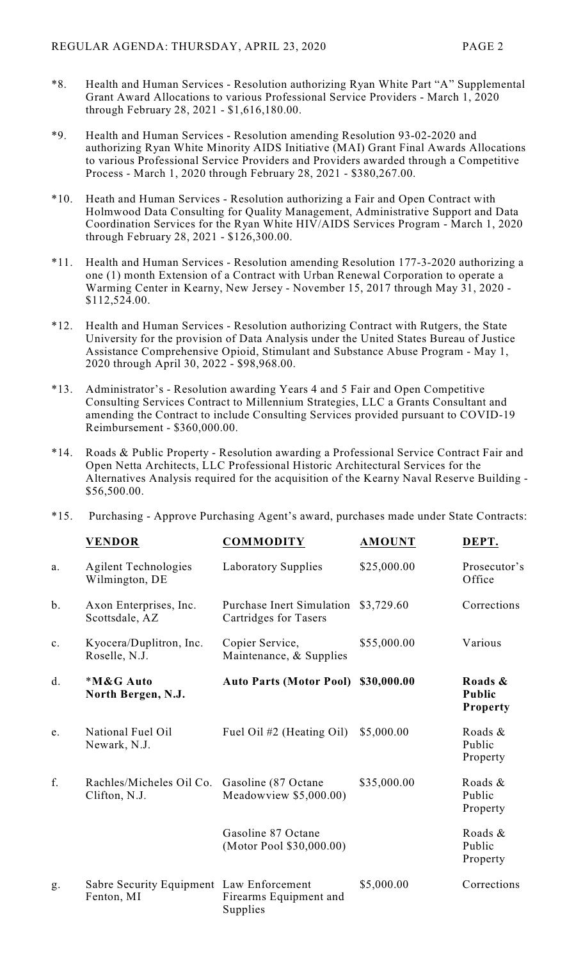- \*8. Health and Human Services Resolution authorizing Ryan White Part "A" Supplemental Grant Award Allocations to various Professional Service Providers - March 1, 2020 through February 28, 2021 - \$1,616,180.00.
- \*9. Health and Human Services Resolution amending Resolution 93-02-2020 and authorizing Ryan White Minority AIDS Initiative (MAI) Grant Final Awards Allocations to various Professional Service Providers and Providers awarded through a Competitive Process - March 1, 2020 through February 28, 2021 - \$380,267.00.
- \*10. Heath and Human Services Resolution authorizing a Fair and Open Contract with Holmwood Data Consulting for Quality Management, Administrative Support and Data Coordination Services for the Ryan White HIV/AIDS Services Program - March 1, 2020 through February 28, 2021 - \$126,300.00.
- \*11. Health and Human Services Resolution amending Resolution 177-3-2020 authorizing a one (1) month Extension of a Contract with Urban Renewal Corporation to operate a Warming Center in Kearny, New Jersey - November 15, 2017 through May 31, 2020 - \$112,524.00.
- \*12. Health and Human Services Resolution authorizing Contract with Rutgers, the State University for the provision of Data Analysis under the United States Bureau of Justice Assistance Comprehensive Opioid, Stimulant and Substance Abuse Program - May 1, 2020 through April 30, 2022 - \$98,968.00.
- \*13. Administrator's Resolution awarding Years 4 and 5 Fair and Open Competitive Consulting Services Contract to Millennium Strategies, LLC a Grants Consultant and amending the Contract to include Consulting Services provided pursuant to COVID-19 Reimbursement - \$360,000.00.
- \*14. Roads & Public Property Resolution awarding a Professional Service Contract Fair and Open Netta Architects, LLC Professional Historic Architectural Services for the Alternatives Analysis required for the acquisition of the Kearny Naval Reserve Building - \$56,500.00.

|  |  |  |  | *15. Purchasing - Approve Purchasing Agent's award, purchases made under State Contracts: |
|--|--|--|--|-------------------------------------------------------------------------------------------|
|--|--|--|--|-------------------------------------------------------------------------------------------|

|                | <b>VENDOR</b>                                          | <b>COMMODITY</b>                                          | <b>AMOUNT</b> | DEPT.                                       |
|----------------|--------------------------------------------------------|-----------------------------------------------------------|---------------|---------------------------------------------|
| a.             | <b>Agilent Technologies</b><br>Wilmington, DE          | Laboratory Supplies                                       | \$25,000.00   | Prosecutor's<br>Office                      |
| $b$ .          | Axon Enterprises, Inc.<br>Scottsdale, AZ               | <b>Purchase Inert Simulation</b><br>Cartridges for Tasers | \$3,729.60    | Corrections                                 |
| $\mathbf{c}$ . | Kyocera/Duplitron, Inc.<br>Roselle, N.J.               | Copier Service,<br>Maintenance, & Supplies                | \$55,000.00   | Various                                     |
| d.             | *M&G Auto<br>North Bergen, N.J.                        | <b>Auto Parts (Motor Pool)</b>                            | \$30,000.00   | Roads &<br><b>Public</b><br><b>Property</b> |
| e.             | National Fuel Oil<br>Newark, N.J.                      | Fuel Oil #2 (Heating Oil)                                 | \$5,000.00    | Roads &<br>Public<br>Property               |
| f.             | Rachles/Micheles Oil Co.<br>Clifton, N.J.              | Gasoline (87 Octane<br>Meadowview \$5,000.00)             | \$35,000.00   | Roads &<br>Public<br>Property               |
|                |                                                        | Gasoline 87 Octane<br>(Motor Pool \$30,000.00)            |               | Roads &<br>Public<br>Property               |
| g.             | Sabre Security Equipment Law Enforcement<br>Fenton, MI | Firearms Equipment and<br>Supplies                        | \$5,000.00    | Corrections                                 |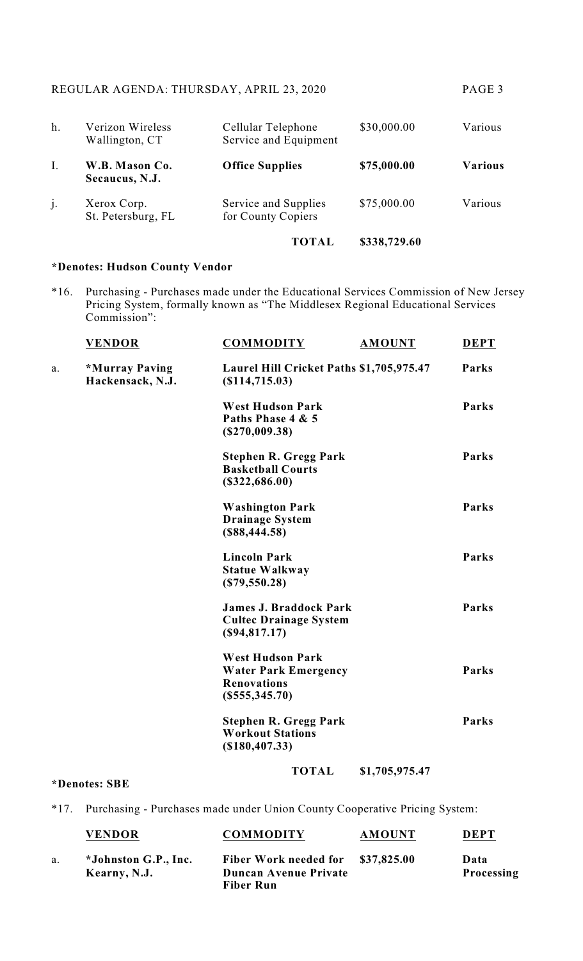| h.             | Verizon Wireless<br>Wallington, CT | Cellular Telephone<br>Service and Equipment | \$30,000.00  | Various        |
|----------------|------------------------------------|---------------------------------------------|--------------|----------------|
| Ι.             | W.B. Mason Co.<br>Secaucus, N.J.   | <b>Office Supplies</b>                      | \$75,000.00  | <b>Various</b> |
| $\mathbf{j}$ . | Xerox Corp.<br>St. Petersburg, FL  | Service and Supplies<br>for County Copiers  | \$75,000.00  | Various        |
|                |                                    | TOTAL                                       | \$338,729.60 |                |

# **\*Denotes: Hudson County Vendor**

\*16. Purchasing - Purchases made under the Educational Services Commission of New Jersey Pricing System, formally known as "The Middlesex Regional Educational Services Commission":

|    | <b>VENDOR</b>                      | <b>COMMODITY</b>                                                                               | <b>AMOUNT</b>  | <b>DEPT</b> |
|----|------------------------------------|------------------------------------------------------------------------------------------------|----------------|-------------|
| a. | *Murray Paving<br>Hackensack, N.J. | Laurel Hill Cricket Paths \$1,705,975.47<br>(S114, 715.03)                                     |                | Parks       |
|    |                                    | <b>West Hudson Park</b><br>Paths Phase 4 & 5<br>(S270,009.38)                                  |                | Parks       |
|    |                                    | <b>Stephen R. Gregg Park</b><br><b>Basketball Courts</b><br>(\$322,686.00)                     |                | Parks       |
|    |                                    | <b>Washington Park</b><br><b>Drainage System</b><br>(\$88,444.58)                              |                | Parks       |
|    |                                    | <b>Lincoln Park</b><br><b>Statue Walkway</b><br>$(\$79,550.28)$                                |                | Parks       |
|    |                                    | <b>James J. Braddock Park</b><br><b>Cultec Drainage System</b><br>(\$94,817.17)                |                | Parks       |
|    |                                    | <b>West Hudson Park</b><br><b>Water Park Emergency</b><br><b>Renovations</b><br>(\$555,345.70) |                | Parks       |
|    |                                    | <b>Stephen R. Gregg Park</b><br><b>Workout Stations</b><br>(\$180,407.33)                      |                | Parks       |
|    |                                    | <b>TOTAL</b>                                                                                   | \$1,705,975.47 |             |

# **\*Denotes: SBE**

\*17. Purchasing - Purchases made under Union County Cooperative Pricing System:

|    | <b>VENDOR</b>                        | <b>COMMODITY</b>                                           | <b>AMOUNT</b> | <b>DEPT</b>        |
|----|--------------------------------------|------------------------------------------------------------|---------------|--------------------|
| a. | *Johnston G.P., Inc.<br>Kearny, N.J. | Fiber Work needed for \$37,825.00<br>Duncan Avenue Private |               | Data<br>Processing |
|    |                                      | <b>Fiber Run</b>                                           |               |                    |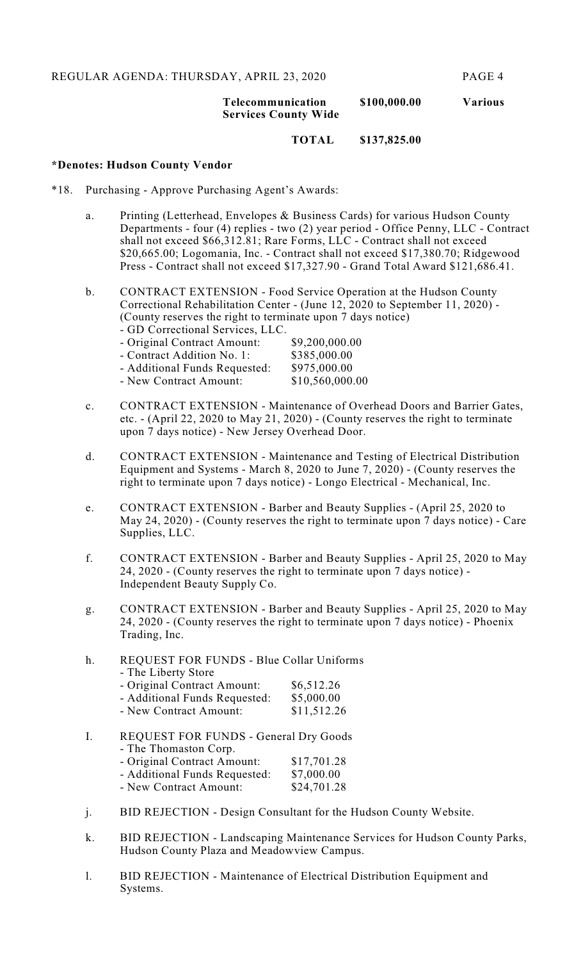# **Telecommunication \$100,000.00 Various Services County Wide**

**TOTAL \$137,825.00**

#### **\*Denotes: Hudson County Vendor**

- \*18. Purchasing Approve Purchasing Agent's Awards:
	- a. Printing (Letterhead, Envelopes & Business Cards) for various Hudson County Departments - four (4) replies - two (2) year period - Office Penny, LLC - Contract shall not exceed \$66,312.81; Rare Forms, LLC - Contract shall not exceed \$20,665.00; Logomania, Inc. - Contract shall not exceed \$17,380.70; Ridgewood Press - Contract shall not exceed \$17,327.90 - Grand Total Award \$121,686.41.
	- b. CONTRACT EXTENSION Food Service Operation at the Hudson County Correctional Rehabilitation Center - (June 12, 2020 to September 11, 2020) - (County reserves the right to terminate upon 7 days notice) - GD Correctional Services, LLC.

| - Original Contract Amount:   | \$9,200,000.00  |
|-------------------------------|-----------------|
| - Contract Addition No. 1:    | \$385,000.00    |
| - Additional Funds Requested: | \$975,000.00    |
| - New Contract Amount:        | \$10,560,000.00 |
|                               |                 |

- c. CONTRACT EXTENSION Maintenance of Overhead Doors and Barrier Gates, etc. - (April 22, 2020 to May 21, 2020) - (County reserves the right to terminate upon 7 days notice) - New Jersey Overhead Door.
- d. CONTRACT EXTENSION Maintenance and Testing of Electrical Distribution Equipment and Systems - March 8, 2020 to June 7, 2020) - (County reserves the right to terminate upon 7 days notice) - Longo Electrical - Mechanical, Inc.
- e. CONTRACT EXTENSION Barber and Beauty Supplies (April 25, 2020 to May 24, 2020) - (County reserves the right to terminate upon 7 days notice) - Care Supplies, LLC.
- f. CONTRACT EXTENSION Barber and Beauty Supplies April 25, 2020 to May 24, 2020 - (County reserves the right to terminate upon 7 days notice) - Independent Beauty Supply Co.
- g. CONTRACT EXTENSION Barber and Beauty Supplies April 25, 2020 to May 24, 2020 - (County reserves the right to terminate upon 7 days notice) - Phoenix Trading, Inc.
- h. REQUEST FOR FUNDS Blue Collar Uniforms - The Liberty Store - Original Contract Amount: \$6,512.26 - Additional Funds Requested: \$5,000.00<br>- New Contract Amount: \$11,512.26 - New Contract Amount:
- I. REQUEST FOR FUNDS General Dry Goods - The Thomaston Corp. - Original Contract Amount: \$17,701.28<br>- Additional Funds Requested: \$7,000.00 - Additional Funds Requested: - New Contract Amount: \$24,701.28
- j. BID REJECTION Design Consultant for the Hudson County Website.
- k. BID REJECTION Landscaping Maintenance Services for Hudson County Parks, Hudson County Plaza and Meadowview Campus.
- l. BID REJECTION Maintenance of Electrical Distribution Equipment and Systems.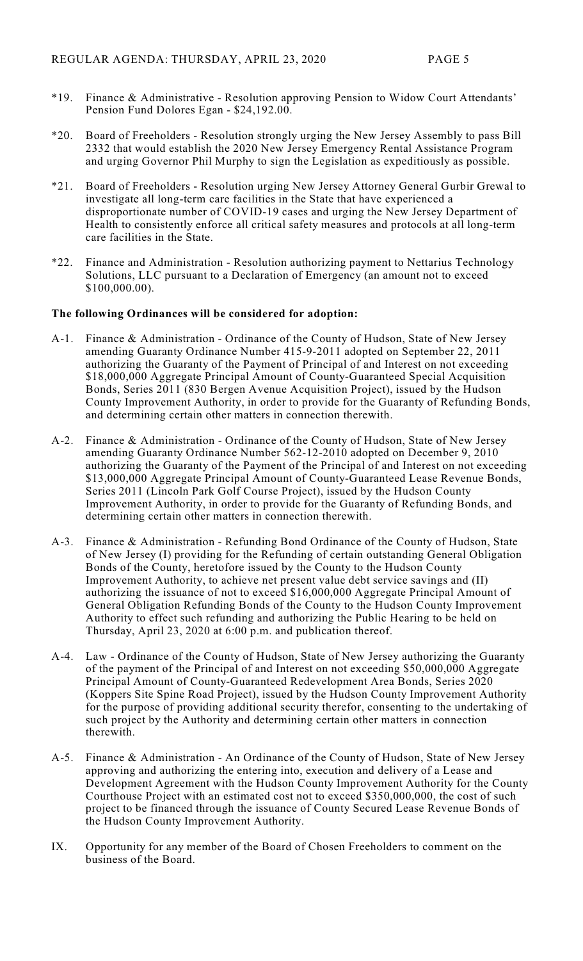- \*19. Finance & Administrative Resolution approving Pension to Widow Court Attendants' Pension Fund Dolores Egan - \$24,192.00.
- \*20. Board of Freeholders Resolution strongly urging the New Jersey Assembly to pass Bill 2332 that would establish the 2020 New Jersey Emergency Rental Assistance Program and urging Governor Phil Murphy to sign the Legislation as expeditiously as possible.
- \*21. Board of Freeholders Resolution urging New Jersey Attorney General Gurbir Grewal to investigate all long-term care facilities in the State that have experienced a disproportionate number of COVID-19 cases and urging the New Jersey Department of Health to consistently enforce all critical safety measures and protocols at all long-term care facilities in the State.
- \*22. Finance and Administration Resolution authorizing payment to Nettarius Technology Solutions, LLC pursuant to a Declaration of Emergency (an amount not to exceed \$100,000.00).

### **The following Ordinances will be considered for adoption:**

- A-1. Finance & Administration Ordinance of the County of Hudson, State of New Jersey amending Guaranty Ordinance Number 415-9-2011 adopted on September 22, 2011 authorizing the Guaranty of the Payment of Principal of and Interest on not exceeding \$18,000,000 Aggregate Principal Amount of County-Guaranteed Special Acquisition Bonds, Series 2011 (830 Bergen Avenue Acquisition Project), issued by the Hudson County Improvement Authority, in order to provide for the Guaranty of Refunding Bonds, and determining certain other matters in connection therewith.
- A-2. Finance & Administration Ordinance of the County of Hudson, State of New Jersey amending Guaranty Ordinance Number 562-12-2010 adopted on December 9, 2010 authorizing the Guaranty of the Payment of the Principal of and Interest on not exceeding \$13,000,000 Aggregate Principal Amount of County-Guaranteed Lease Revenue Bonds, Series 2011 (Lincoln Park Golf Course Project), issued by the Hudson County Improvement Authority, in order to provide for the Guaranty of Refunding Bonds, and determining certain other matters in connection therewith.
- A-3. Finance & Administration Refunding Bond Ordinance of the County of Hudson, State of New Jersey (I) providing for the Refunding of certain outstanding General Obligation Bonds of the County, heretofore issued by the County to the Hudson County Improvement Authority, to achieve net present value debt service savings and (II) authorizing the issuance of not to exceed \$16,000,000 Aggregate Principal Amount of General Obligation Refunding Bonds of the County to the Hudson County Improvement Authority to effect such refunding and authorizing the Public Hearing to be held on Thursday, April 23, 2020 at 6:00 p.m. and publication thereof.
- A-4. Law Ordinance of the County of Hudson, State of New Jersey authorizing the Guaranty of the payment of the Principal of and Interest on not exceeding \$50,000,000 Aggregate Principal Amount of County-Guaranteed Redevelopment Area Bonds, Series 2020 (Koppers Site Spine Road Project), issued by the Hudson County Improvement Authority for the purpose of providing additional security therefor, consenting to the undertaking of such project by the Authority and determining certain other matters in connection therewith.
- A-5. Finance & Administration An Ordinance of the County of Hudson, State of New Jersey approving and authorizing the entering into, execution and delivery of a Lease and Development Agreement with the Hudson County Improvement Authority for the County Courthouse Project with an estimated cost not to exceed \$350,000,000, the cost of such project to be financed through the issuance of County Secured Lease Revenue Bonds of the Hudson County Improvement Authority.
- IX. Opportunity for any member of the Board of Chosen Freeholders to comment on the business of the Board.